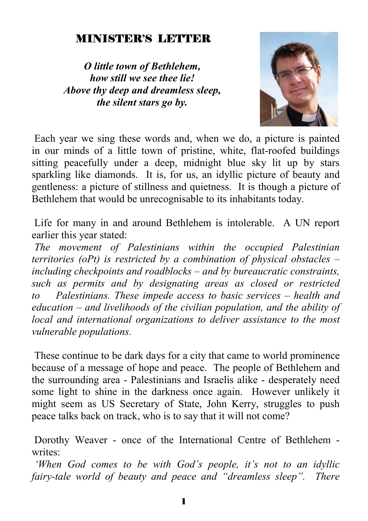#### MINISTER'S LETTER

*O little town of Bethlehem, how still we see thee lie! Above thy deep and dreamless sleep, the silent stars go by.* 



 Each year we sing these words and, when we do, a picture is painted in our minds of a little town of pristine, white, flat-roofed buildings sitting peacefully under a deep, midnight blue sky lit up by stars sparkling like diamonds. It is, for us, an idyllic picture of beauty and gentleness: a picture of stillness and quietness. It is though a picture of Bethlehem that would be unrecognisable to its inhabitants today.

 Life for many in and around Bethlehem is intolerable. A UN report earlier this year stated:

*The movement of Palestinians within the occupied Palestinian territories (oPt) is restricted by a combination of physical obstacles – including checkpoints and roadblocks – and by bureaucratic constraints, such as permits and by designating areas as closed or restricted to Palestinians. These impede access to basic services – health and education – and livelihoods of the civilian population, and the ability of local and international organizations to deliver assistance to the most vulnerable populations.* 

 These continue to be dark days for a city that came to world prominence because of a message of hope and peace. The people of Bethlehem and the surrounding area - Palestinians and Israelis alike - desperately need some light to shine in the darkness once again. However unlikely it might seem as US Secretary of State, John Kerry, struggles to push peace talks back on track, who is to say that it will not come?

 Dorothy Weaver - once of the International Centre of Bethlehem writes<sup>.</sup>

*'When God comes to be with God's people, it's not to an idyllic fairy-tale world of beauty and peace and "dreamless sleep". There*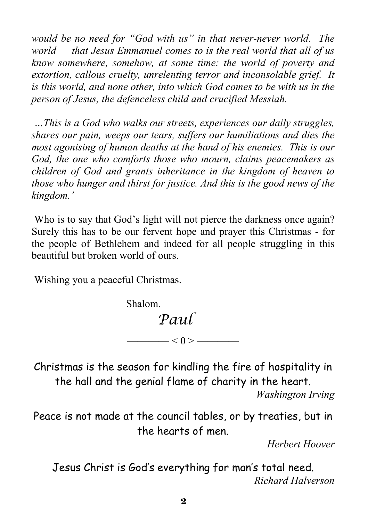*would be no need for "God with us" in that never-never world. The world that Jesus Emmanuel comes to is the real world that all of us know somewhere, somehow, at some time: the world of poverty and extortion, callous cruelty, unrelenting terror and inconsolable grief. It is this world, and none other, into which God comes to be with us in the person of Jesus, the defenceless child and crucified Messiah.* 

*…This is a God who walks our streets, experiences our daily struggles, shares our pain, weeps our tears, suffers our humiliations and dies the most agonising of human deaths at the hand of his enemies. This is our God, the one who comforts those who mourn, claims peacemakers as children of God and grants inheritance in the kingdom of heaven to those who hunger and thirst for justice. And this is the good news of the kingdom.'* 

 Who is to say that God's light will not pierce the darkness once again? Surely this has to be our fervent hope and prayer this Christmas - for the people of Bethlehem and indeed for all people struggling in this beautiful but broken world of ours.

Wishing you a peaceful Christmas.

Shalom.

## *Paul*

Christmas is the season for kindling the fire of hospitality in the hall and the genial flame of charity in the heart.

—— $< 0 >$ ————

*Washington Irving* 

Peace is not made at the council tables, or by treaties, but in the hearts of men.

*Herbert Hoover* 

Jesus Christ is God's everything for man's total need. *Richard Halverson*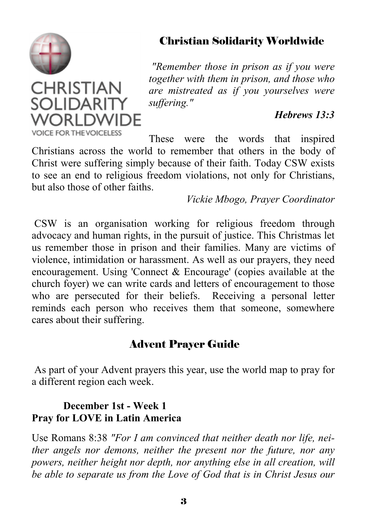

**CHRISTIAN SOLIDARITY** WORI DWIDF

#### Christian Solidarity Worldwide

 *"Remember those in prison as if you were together with them in prison, and those who are mistreated as if you yourselves were suffering."* 

#### *Hebrews 13:3*

**VOICE FOR THE VOICELESS** These were the words that inspired Christians across the world to remember that others in the body of Christ were suffering simply because of their faith. Today CSW exists to see an end to religious freedom violations, not only for Christians, but also those of other faiths.

*Vickie Mbogo, Prayer Coordinator* 

 CSW is an organisation working for religious freedom through advocacy and human rights, in the pursuit of justice. This Christmas let us remember those in prison and their families. Many are victims of violence, intimidation or harassment. As well as our prayers, they need encouragement. Using 'Connect & Encourage' (copies available at the church foyer) we can write cards and letters of encouragement to those who are persecuted for their beliefs. Receiving a personal letter reminds each person who receives them that someone, somewhere cares about their suffering.

#### Advent Prayer Guide

 As part of your Advent prayers this year, use the world map to pray for a different region each week.

#### **December 1st - Week 1 Pray for LOVE in Latin America**

Use Romans 8:38 *"For I am convinced that neither death nor life, neither angels nor demons, neither the present nor the future, nor any powers, neither height nor depth, nor anything else in all creation, will be able to separate us from the Love of God that is in Christ Jesus our*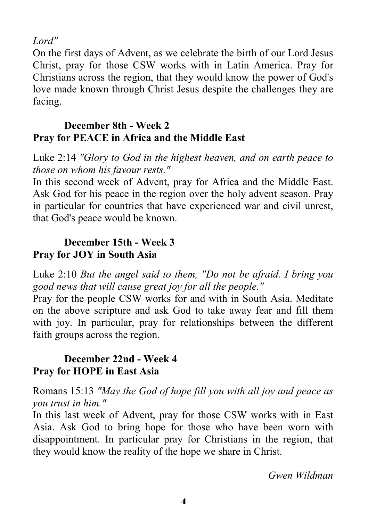*Lord"*

On the first days of Advent, as we celebrate the birth of our Lord Jesus Christ, pray for those CSW works with in Latin America. Pray for Christians across the region, that they would know the power of God's love made known through Christ Jesus despite the challenges they are facing.

#### **December 8th - Week 2 Pray for PEACE in Africa and the Middle East**

Luke 2:14 *"Glory to God in the highest heaven, and on earth peace to those on whom his favour rests."*

In this second week of Advent, pray for Africa and the Middle East. Ask God for his peace in the region over the holy advent season. Pray in particular for countries that have experienced war and civil unrest, that God's peace would be known.

#### **December 15th - Week 3 Pray for JOY in South Asia**

Luke 2:10 *But the angel said to them, "Do not be afraid. I bring you good news that will cause great joy for all the people."*

Pray for the people CSW works for and with in South Asia. Meditate on the above scripture and ask God to take away fear and fill them with joy. In particular, pray for relationships between the different faith groups across the region.

#### **December 22nd - Week 4 Pray for HOPE in East Asia**

Romans 15:13 *"May the God of hope fill you with all joy and peace as you trust in him."*

In this last week of Advent, pray for those CSW works with in East Asia. Ask God to bring hope for those who have been worn with disappointment. In particular pray for Christians in the region, that they would know the reality of the hope we share in Christ.

*Gwen Wildman*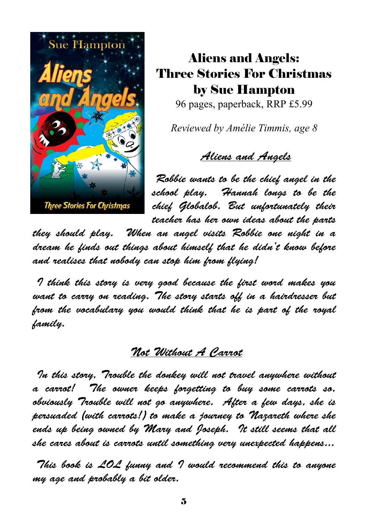

## Aliens and Angels: Three Stories For Christmas by Sue Hampton

96 pages, paperback, RRP £5.99

*Reviewed by Amélie Timmis, age 8* 

### Aliens and Angels

Robbie wants to be the chief angel in the school play. Hannah longs to be the chief Globalob. But unfortunately their teacher has her own ideas about the parts

they should play. When an angel visits Robbie one night in a dream he finds out things about himself that he didn't know before and realises that nobody can stop him from flying!

 I think this story is very good because the first word makes you want to carry on reading. The story starts off in a hairdresser but from the vocabulary you would think that he is part of the royal family.

### Not Without A Carrot

 In this story, Trouble the donkey will not travel anywhere without a carrot! The owner keeps forgetting to buy some carrots so, obviously Trouble will not go anywhere. After a few days, she is persuaded (with carrots!) to make a journey to Nazareth where she ends up being owned by Mary and Joseph. It still seems that all she cares about is carrots until something very unexpected happens...

This book is LOL funny and I would recommend this to anyone my age and probably a bit older.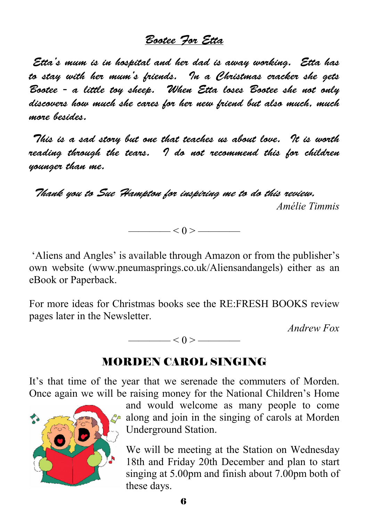#### Bootee For Etta

 Etta's mum is in hospital and her dad is away working. Etta has to stay with her mum's friends. In a Christmas cracker she gets Bootee - a little toy sheep. When Etta loses Bootee she not only discovers how much she cares for her new friend but also much, much more besides.

 This is a sad story but one that teaches us about love. It is worth reading through the tears. I do not recommend this for children younger than me.

 Thank you to Sue Hampton for inspiring me to do this review. *Amélie Timmis* 

 $\angle 0$  >  $\equiv$ 

 'Aliens and Angles' is available through Amazon or from the publisher's own website (www.pneumasprings.co.uk/Aliensandangels) either as an eBook or Paperback.

For more ideas for Christmas books see the RE:FRESH BOOKS review pages later in the Newsletter.

*Andrew Fox* 

———— < 0 > ————

#### MORDEN CAROL SINGING

It's that time of the year that we serenade the commuters of Morden. Once again we will be raising money for the National Children's Home



and would welcome as many people to come  $\mathcal{L}$  along and join in the singing of carols at Morden Underground Station.

We will be meeting at the Station on Wednesday 18th and Friday 20th December and plan to start singing at 5.00pm and finish about 7.00pm both of these days.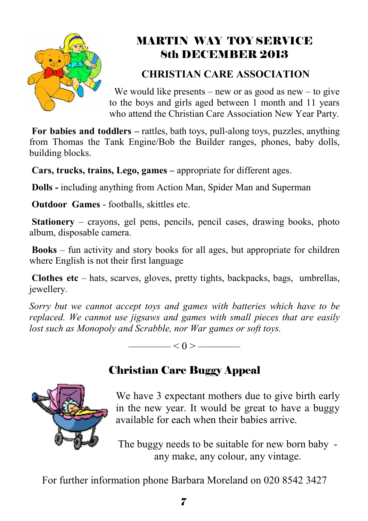

## MARTIN WAY TOY SERVICE 8th DECEMBER 2013

### **CHRISTIAN CARE ASSOCIATION**

We would like presents – new or as good as new – to give to the boys and girls aged between 1 month and 11 years who attend the Christian Care Association New Year Party.

**For babies and toddlers –** rattles, bath toys, pull-along toys, puzzles, anything from Thomas the Tank Engine/Bob the Builder ranges, phones, baby dolls, building blocks.

**Cars, trucks, trains, Lego, games –** appropriate for different ages.

**Dolls -** including anything from Action Man, Spider Man and Superman

**Outdoor Games - footballs, skittles etc.** 

**Stationery** – crayons, gel pens, pencils, pencil cases, drawing books, photo album, disposable camera.

**Books** – fun activity and story books for all ages, but appropriate for children where English is not their first language

**Clothes etc** – hats, scarves, gloves, pretty tights, backpacks, bags, umbrellas, jewellery.

*Sorry but we cannot accept toys and games with batteries which have to be replaced. We cannot use jigsaws and games with small pieces that are easily lost such as Monopoly and Scrabble, nor War games or soft toys.* 

 $< 0 >$ 

## Christian Care Buggy Appeal



The buggy needs to be suitable for new born baby any make, any colour, any vintage.

For further information phone Barbara Moreland on 020 8542 3427

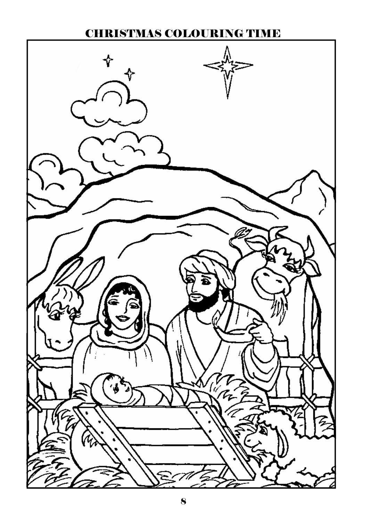### CHRISTMAS COLOURING TIME

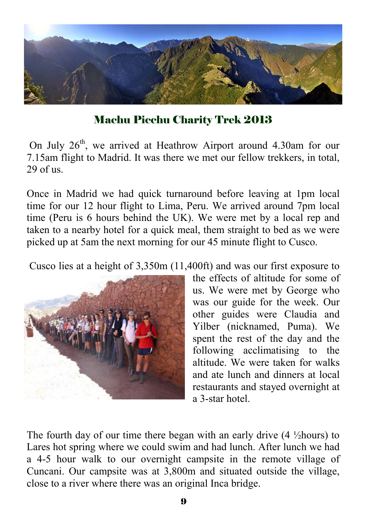

Machu Picchu Charity Trek 2013

On July  $26<sup>th</sup>$ , we arrived at Heathrow Airport around 4.30am for our 7.15am flight to Madrid. It was there we met our fellow trekkers, in total,  $29$  of us.

Once in Madrid we had quick turnaround before leaving at 1pm local time for our 12 hour flight to Lima, Peru. We arrived around 7pm local time (Peru is 6 hours behind the UK). We were met by a local rep and taken to a nearby hotel for a quick meal, them straight to bed as we were picked up at 5am the next morning for our 45 minute flight to Cusco.

Cusco lies at a height of 3,350m (11,400ft) and was our first exposure to



the effects of altitude for some of us. We were met by George who was our guide for the week. Our other guides were Claudia and Yilber (nicknamed, Puma). We spent the rest of the day and the following acclimatising to the altitude. We were taken for walks and ate lunch and dinners at local restaurants and stayed overnight at a 3-star hotel.

The fourth day of our time there began with an early drive  $(4 \frac{1}{2} \text{hours})$  to Lares hot spring where we could swim and had lunch. After lunch we had a 4-5 hour walk to our overnight campsite in the remote village of Cuncani. Our campsite was at 3,800m and situated outside the village, close to a river where there was an original Inca bridge.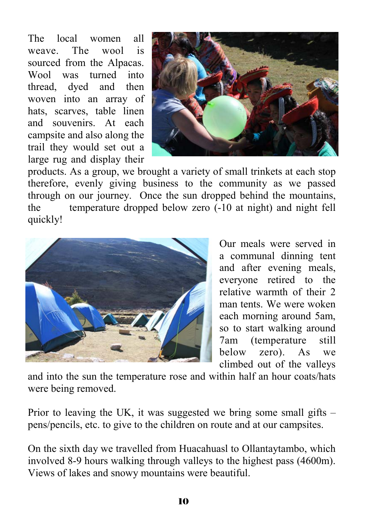The local women all weave. The wool is sourced from the Alpacas. Wool was turned into thread, dyed and then woven into an array of hats, scarves, table linen and souvenirs. At each campsite and also along the trail they would set out a large rug and display their



products. As a group, we brought a variety of small trinkets at each stop therefore, evenly giving business to the community as we passed through on our journey. Once the sun dropped behind the mountains, the temperature dropped below zero (-10 at night) and night fell quickly!



Our meals were served in a communal dinning tent and after evening meals, everyone retired to the relative warmth of their 2 man tents. We were woken each morning around 5am, so to start walking around 7am (temperature still below zero). As we climbed out of the valleys

and into the sun the temperature rose and within half an hour coats/hats were being removed.

Prior to leaving the UK, it was suggested we bring some small gifts – pens/pencils, etc. to give to the children on route and at our campsites.

On the sixth day we travelled from Huacahuasl to Ollantaytambo, which involved 8-9 hours walking through valleys to the highest pass (4600m). Views of lakes and snowy mountains were beautiful.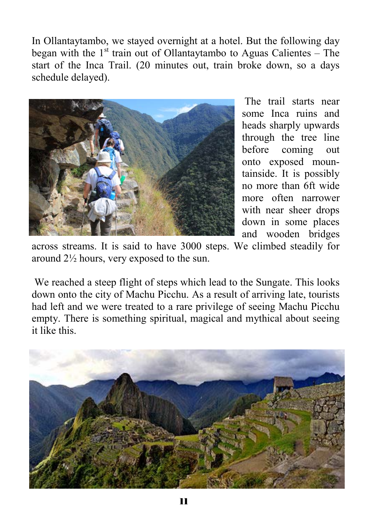In Ollantaytambo, we stayed overnight at a hotel. But the following day began with the  $1<sup>st</sup>$  train out of Ollantaytambo to Aguas Calientes – The start of the Inca Trail. (20 minutes out, train broke down, so a days schedule delayed).



 The trail starts near some Inca ruins and heads sharply upwards through the tree line before coming out onto exposed mountainside. It is possibly no more than 6ft wide more often narrower with near sheer drops down in some places and wooden bridges

across streams. It is said to have 3000 steps. We climbed steadily for around 2½ hours, very exposed to the sun.

 We reached a steep flight of steps which lead to the Sungate. This looks down onto the city of Machu Picchu. As a result of arriving late, tourists had left and we were treated to a rare privilege of seeing Machu Picchu empty. There is something spiritual, magical and mythical about seeing it like this.

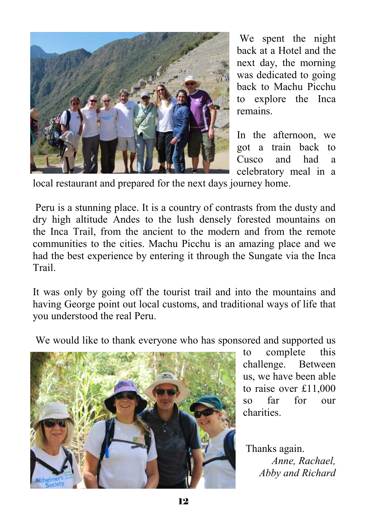

 We spent the night back at a Hotel and the next day, the morning was dedicated to going back to Machu Picchu to explore the Inca remains.

In the afternoon, we got a train back to Cusco and had a celebratory meal in a

local restaurant and prepared for the next days journey home.

 Peru is a stunning place. It is a country of contrasts from the dusty and dry high altitude Andes to the lush densely forested mountains on the Inca Trail, from the ancient to the modern and from the remote communities to the cities. Machu Picchu is an amazing place and we had the best experience by entering it through the Sungate via the Inca Trail.

It was only by going off the tourist trail and into the mountains and having George point out local customs, and traditional ways of life that you understood the real Peru.

We would like to thank everyone who has sponsored and supported us



to complete this challenge. Between us, we have been able to raise over £11,000 so far for our charities.

 Thanks again. *Anne, Rachael, Abby and Richard*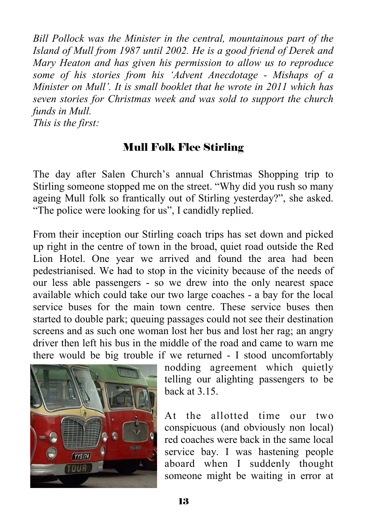*Bill Pollock was the Minister in the central, mountainous part of the Island of Mull from 1987 until 2002. He is a good friend of Derek and Mary Heaton and has given his permission to allow us to reproduce some of his stories from his 'Advent Anecdotage - Mishaps of a Minister on Mull'. It is small booklet that he wrote in 2011 which has seven stories for Christmas week and was sold to support the church funds in Mull.* 

*This is the first:* 

### Mull Folk Flee Stirling

The day after Salen Church's annual Christmas Shopping trip to Stirling someone stopped me on the street. "Why did you rush so many ageing Mull folk so frantically out of Stirling yesterday?", she asked. "The police were looking for us", I candidly replied.

From their inception our Stirling coach trips has set down and picked up right in the centre of town in the broad, quiet road outside the Red Lion Hotel. One year we arrived and found the area had been pedestrianised. We had to stop in the vicinity because of the needs of our less able passengers - so we drew into the only nearest space available which could take our two large coaches - a bay for the local service buses for the main town centre. These service buses then started to double park; queuing passages could not see their destination screens and as such one woman lost her bus and lost her rag; an angry driver then left his bus in the middle of the road and came to warn me there would be big trouble if we returned - I stood uncomfortably



nodding agreement which quietly telling our alighting passengers to be back at 3.15.

At the allotted time our two conspicuous (and obviously non local) red coaches were back in the same local service bay. I was hastening people aboard when I suddenly thought someone might be waiting in error at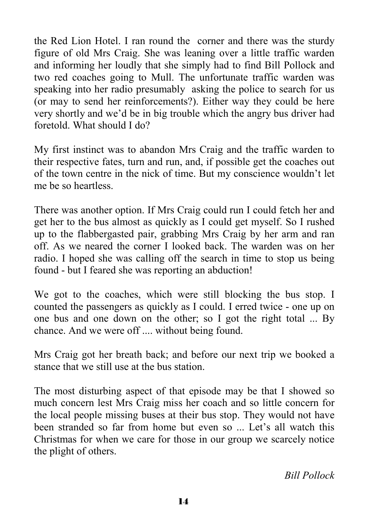the Red Lion Hotel. I ran round the corner and there was the sturdy figure of old Mrs Craig. She was leaning over a little traffic warden and informing her loudly that she simply had to find Bill Pollock and two red coaches going to Mull. The unfortunate traffic warden was speaking into her radio presumably asking the police to search for us (or may to send her reinforcements?). Either way they could be here very shortly and we'd be in big trouble which the angry bus driver had foretold. What should I do?

My first instinct was to abandon Mrs Craig and the traffic warden to their respective fates, turn and run, and, if possible get the coaches out of the town centre in the nick of time. But my conscience wouldn't let me be so heartless.

There was another option. If Mrs Craig could run I could fetch her and get her to the bus almost as quickly as I could get myself. So I rushed up to the flabbergasted pair, grabbing Mrs Craig by her arm and ran off. As we neared the corner I looked back. The warden was on her radio. I hoped she was calling off the search in time to stop us being found - but I feared she was reporting an abduction!

We got to the coaches, which were still blocking the bus stop. I counted the passengers as quickly as I could. I erred twice - one up on one bus and one down on the other; so I got the right total ... By chance. And we were off .... without being found.

Mrs Craig got her breath back; and before our next trip we booked a stance that we still use at the bus station.

The most disturbing aspect of that episode may be that I showed so much concern lest Mrs Craig miss her coach and so little concern for the local people missing buses at their bus stop. They would not have been stranded so far from home but even so ... Let's all watch this Christmas for when we care for those in our group we scarcely notice the plight of others.

*Bill Pollock*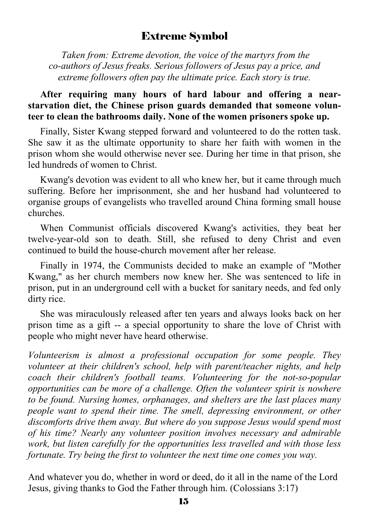#### Extreme Symbol

 *Taken from: Extreme devotion, the voice of the martyrs from the co-authors of Jesus freaks. Serious followers of Jesus pay a price, and extreme followers often pay the ultimate price. Each story is true.* 

#### After requiring many hours of hard labour and offering a near**starvation diet, the Chinese prison guards demanded that someone volunteer to clean the bathrooms daily. None of the women prisoners spoke up.**

Finally, Sister Kwang stepped forward and volunteered to do the rotten task. She saw it as the ultimate opportunity to share her faith with women in the prison whom she would otherwise never see. During her time in that prison, she led hundreds of women to Christ.

 Kwang's devotion was evident to all who knew her, but it came through much suffering. Before her imprisonment, she and her husband had volunteered to organise groups of evangelists who travelled around China forming small house churches.

 When Communist officials discovered Kwang's activities, they beat her twelve-year-old son to death. Still, she refused to deny Christ and even continued to build the house-church movement after her release.

 Finally in 1974, the Communists decided to make an example of "Mother Kwang," as her church members now knew her. She was sentenced to life in prison, put in an underground cell with a bucket for sanitary needs, and fed only dirty rice.

 She was miraculously released after ten years and always looks back on her prison time as a gift -- a special opportunity to share the love of Christ with people who might never have heard otherwise.

*Volunteerism is almost a professional occupation for some people. They volunteer at their children's school, help with parent/teacher nights, and help coach their children's football teams. Volunteering for the not-so-popular opportunities can be more of a challenge. Often the volunteer spirit is nowhere to be found. Nursing homes, orphanages, and shelters are the last places many people want to spend their time. The smell, depressing environment, or other discomforts drive them away. But where do you suppose Jesus would spend most of his time? Nearly any volunteer position involves necessary and admirable work, but listen carefully for the opportunities less travelled and with those less fortunate. Try being the first to volunteer the next time one comes you way.* 

And whatever you do, whether in word or deed, do it all in the name of the Lord Jesus, giving thanks to God the Father through him. (Colossians 3:17)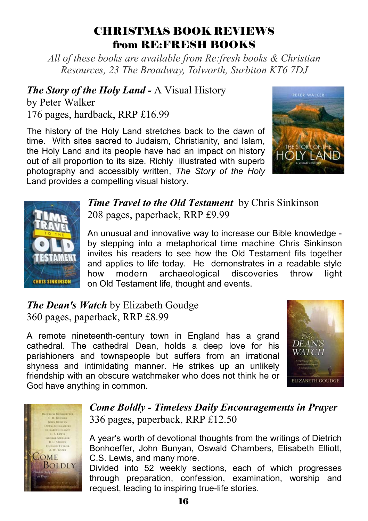### CHRISTMAS BOOK REVIEWS from RE:FRESH BOOKS

*All of these books are available from Re:fresh books & Christian Resources, 23 The Broadway, Tolworth, Surbiton KT6 7DJ*

*The Story of the Holy Land -* A Visual History

by Peter Walker 176 pages, hardback, RRP £16.99

The history of the Holy Land stretches back to the dawn of time. With sites sacred to Judaism, Christianity, and Islam, the Holy Land and its people have had an impact on history out of all proportion to its size. Richly illustrated with superb photography and accessibly written, *The Story of the Holy*  Land provides a compelling visual history.





*Time Travel to the Old Testament* by Chris Sinkinson 208 pages, paperback, RRP £9.99

An unusual and innovative way to increase our Bible knowledge by stepping into a metaphorical time machine Chris Sinkinson invites his readers to see how the Old Testament fits together and applies to life today. He demonstrates in a readable style how modern archaeological discoveries throw light on Old Testament life, thought and events.

*The Dean's Watch* by Elizabeth Goudge 360 pages, paperback, RRP £8.99

A remote nineteenth-century town in England has a grand cathedral. The cathedral Dean, holds a deep love for his parishioners and townspeople but suffers from an irrational shyness and intimidating manner. He strikes up an unlikely friendship with an obscure watchmaker who does not think he or God have anything in common.





#### *Come Boldly - Timeless Daily Encouragements in Prayer*  336 pages, paperback, RRP £12.50

A year's worth of devotional thoughts from the writings of Dietrich Bonhoeffer, John Bunyan, Oswald Chambers, Elisabeth Elliott, C.S. Lewis, and many more.

Divided into 52 weekly sections, each of which progresses through preparation, confession, examination, worship and request, leading to inspiring true-life stories.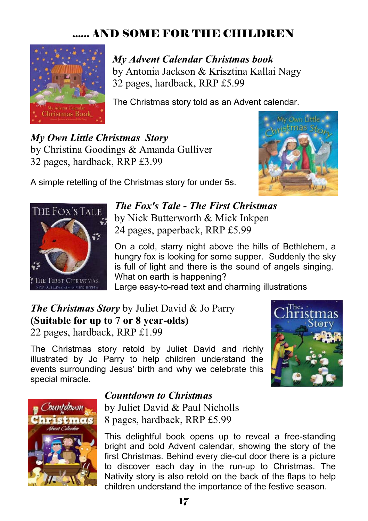## ...... AND SOME FOR THE CHILDREN



*My Advent Calendar Christmas book* by Antonia Jackson & Krisztina Kallai Nagy 32 pages, hardback, RRP £5.99

The Christmas story told as an Advent calendar.

*My Own Little Christmas Story* by Christina Goodings & Amanda Gulliver 32 pages, hardback, RRP £3.99



A simple retelling of the Christmas story for under 5s.



*The Fox's Tale - The First Christmas*  by Nick Butterworth & Mick Inkpen 24 pages, paperback, RRP £5.99

On a cold, starry night above the hills of Bethlehem, a hungry fox is looking for some supper. Suddenly the sky is full of light and there is the sound of angels singing. What on earth is happening?

Large easy-to-read text and charming illustrations

*The Christmas Story* by Juliet David & Jo Parry **(Suitable for up to 7 or 8 year-olds)**  22 pages, hardback, RRP £1.99

The Christmas story retold by Juliet David and richly illustrated by Jo Parry to help children understand the events surrounding Jesus' birth and why we celebrate this special miracle.





#### *Countdown to Christmas*

by Juliet David & Paul Nicholls 8 pages, hardback, RRP £5.99

This delightful book opens up to reveal a free-standing bright and bold Advent calendar, showing the story of the first Christmas. Behind every die-cut door there is a picture to discover each day in the run-up to Christmas. The Nativity story is also retold on the back of the flaps to help children understand the importance of the festive season.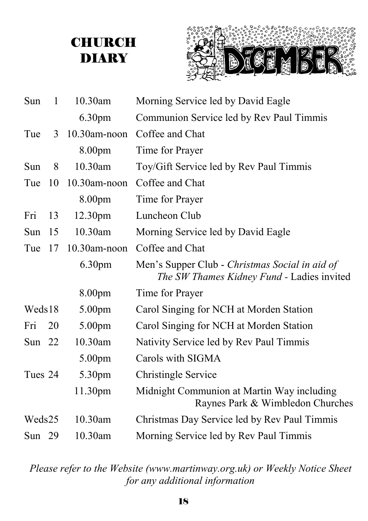## **CHURCH** DIARY



| Sun      | $\mathbf{1}$ | 10.30am            | Morning Service led by David Eagle                                                           |
|----------|--------------|--------------------|----------------------------------------------------------------------------------------------|
|          |              | 6.30 <sub>pm</sub> | Communion Service led by Rev Paul Timmis                                                     |
| Tue      | 3            | $10.30$ am-noon    | Coffee and Chat                                                                              |
|          |              | 8.00pm             | Time for Prayer                                                                              |
| Sun      | 8            | 10.30am            | Toy/Gift Service led by Rev Paul Timmis                                                      |
| Tue      | 10           | $10.30$ am-noon    | Coffee and Chat                                                                              |
|          |              | 8.00pm             | Time for Prayer                                                                              |
| Fri      | 13           | 12.30pm            | Luncheon Club                                                                                |
| Sun      | 15           | 10.30am            | Morning Service led by David Eagle                                                           |
| Tue      | 17           | $10.30$ am-noon    | Coffee and Chat                                                                              |
|          |              | 6.30pm             | Men's Supper Club - Christmas Social in aid of<br>The SW Thames Kidney Fund - Ladies invited |
|          |              | 8.00pm             | Time for Prayer                                                                              |
| Weds18   |              | 5.00pm             | Carol Singing for NCH at Morden Station                                                      |
| Fri      | 20           | 5.00pm             | Carol Singing for NCH at Morden Station                                                      |
| Sun $22$ |              | 10.30am            | Nativity Service led by Rev Paul Timmis                                                      |
|          |              | 5.00pm             | Carols with SIGMA                                                                            |
| Tues 24  |              | 5.30pm             | <b>Christingle Service</b>                                                                   |
|          |              | 11.30pm            | Midnight Communion at Martin Way including<br>Raynes Park & Wimbledon Churches               |
| Weds25   |              | 10.30am            | Christmas Day Service led by Rev Paul Timmis                                                 |
| Sun $29$ |              | 10.30am            | Morning Service led by Rev Paul Timmis                                                       |

*Please refer to the Website (www.martinway.org.uk) or Weekly Notice Sheet for any additional information*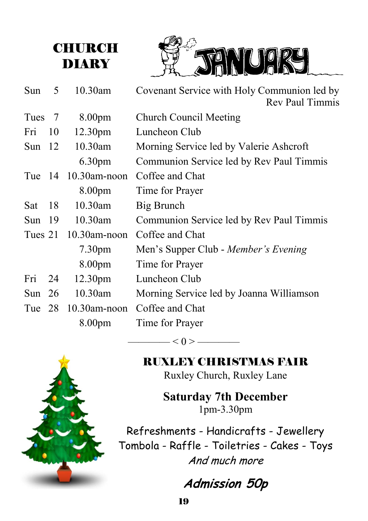



| Sun      | 5  | 10.30am             | Covenant Service with Holy Communion led by<br><b>Rev Paul Timmis</b> |
|----------|----|---------------------|-----------------------------------------------------------------------|
| Tues 7   |    | 8.00 <sub>pm</sub>  | <b>Church Council Meeting</b>                                         |
| Fri      | 10 | 12.30 <sub>pm</sub> | Luncheon Club                                                         |
| Sun $12$ |    | 10.30am             | Morning Service led by Valerie Ashcroft                               |
|          |    | 6.30 <sub>pm</sub>  | Communion Service led by Rev Paul Timmis                              |
|          |    | Tue 14 10.30am-noon | Coffee and Chat                                                       |
|          |    | 8.00pm              | Time for Prayer                                                       |
| Sat      | 18 | 10.30am             | Big Brunch                                                            |
| Sun $19$ |    | $10.30$ am          | Communion Service led by Rev Paul Timmis                              |
| Tues 21  |    | $10.30$ am-noon     | Coffee and Chat                                                       |
|          |    | 7.30 <sub>pm</sub>  | Men's Supper Club - Member's Evening                                  |
|          |    | 8.00pm              | Time for Prayer                                                       |
| Fri      | 24 | 12.30 <sub>pm</sub> | Luncheon Club                                                         |
| Sun $26$ |    | 10.30am             | Morning Service led by Joanna Williamson                              |
| Tue 28   |    | $10.30$ am-noon     | Coffee and Chat                                                       |
|          |    | 8.00 <sub>pm</sub>  | Time for Prayer                                                       |

 $- < 0 > \underline{\hspace{1cm}}$ 



RUXLEY CHRISTMAS FAIR

Ruxley Church, Ruxley Lane

**Saturday 7th December**  1pm-3.30pm

Refreshments - Handicrafts - Jewellery Tombola - Raffle - Toiletries - Cakes - Toys And much more

**Admission 50p**